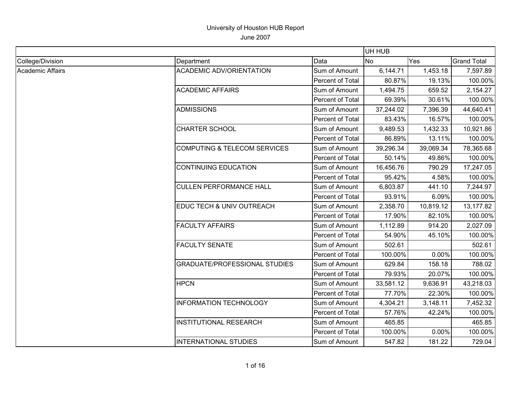|                         |                                         |                  | UH HUB    |           |                    |
|-------------------------|-----------------------------------------|------------------|-----------|-----------|--------------------|
| College/Division        | Department                              | Data             | <b>No</b> | Yes       | <b>Grand Total</b> |
| <b>Academic Affairs</b> | <b>ACADEMIC ADV/ORIENTATION</b>         | Sum of Amount    | 6,144.71  | 1,453.18  | 7,597.89           |
|                         |                                         | Percent of Total | 80.87%    | 19.13%    | 100.00%            |
|                         | <b>ACADEMIC AFFAIRS</b>                 | Sum of Amount    | 1,494.75  | 659.52    | 2,154.27           |
|                         |                                         | Percent of Total | 69.39%    | 30.61%    | 100.00%            |
|                         | <b>ADMISSIONS</b>                       | Sum of Amount    | 37,244.02 | 7,396.39  | 44,640.41          |
|                         |                                         | Percent of Total | 83.43%    | 16.57%    | 100.00%            |
|                         | <b>CHARTER SCHOOL</b>                   | Sum of Amount    | 9,489.53  | 1,432.33  | 10,921.86          |
|                         |                                         | Percent of Total | 86.89%    | 13.11%    | 100.00%            |
|                         | <b>COMPUTING &amp; TELECOM SERVICES</b> | Sum of Amount    | 39,296.34 | 39,069.34 | 78,365.68          |
|                         |                                         | Percent of Total | 50.14%    | 49.86%    | 100.00%            |
|                         | <b>CONTINUING EDUCATION</b>             | Sum of Amount    | 16,456.76 | 790.29    | 17,247.05          |
|                         |                                         | Percent of Total | 95.42%    | 4.58%     | 100.00%            |
|                         | <b>CULLEN PERFORMANCE HALL</b>          | Sum of Amount    | 6,803.87  | 441.10    | 7,244.97           |
|                         |                                         | Percent of Total | 93.91%    | 6.09%     | 100.00%            |
|                         | EDUC TECH & UNIV OUTREACH               | Sum of Amount    | 2,358.70  | 10,819.12 | 13,177.82          |
|                         |                                         | Percent of Total | 17.90%    | 82.10%    | 100.00%            |
|                         | <b>FACULTY AFFAIRS</b>                  | Sum of Amount    | 1,112.89  | 914.20    | 2,027.09           |
|                         |                                         | Percent of Total | 54.90%    | 45.10%    | 100.00%            |
|                         | <b>FACULTY SENATE</b>                   | Sum of Amount    | 502.61    |           | 502.61             |
|                         |                                         | Percent of Total | 100.00%   | 0.00%     | 100.00%            |
|                         | <b>GRADUATE/PROFESSIONAL STUDIES</b>    | Sum of Amount    | 629.84    | 158.18    | 788.02             |
|                         |                                         | Percent of Total | 79.93%    | 20.07%    | 100.00%            |
|                         | <b>HPCN</b>                             | Sum of Amount    | 33,581.12 | 9,636.91  | 43,218.03          |
|                         |                                         | Percent of Total | 77.70%    | 22.30%    | 100.00%            |
|                         | <b>INFORMATION TECHNOLOGY</b>           | Sum of Amount    | 4,304.21  | 3,148.11  | 7,452.32           |
|                         |                                         | Percent of Total | 57.76%    | 42.24%    | 100.00%            |
|                         | <b>INSTITUTIONAL RESEARCH</b>           | Sum of Amount    | 465.85    |           | 465.85             |
|                         |                                         | Percent of Total | 100.00%   | 0.00%     | 100.00%            |
|                         | <b>INTERNATIONAL STUDIES</b>            | Sum of Amount    | 547.82    | 181.22    | 729.04             |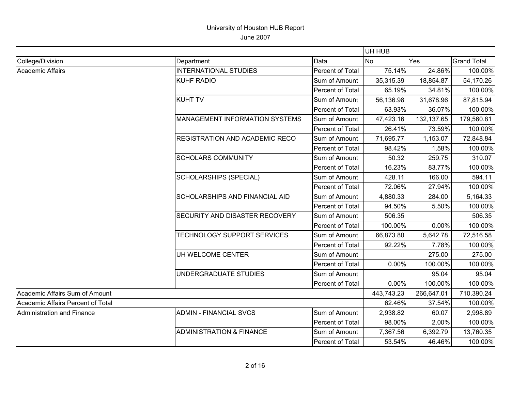|                                   |                                       |                  | UH HUB     |            |                    |
|-----------------------------------|---------------------------------------|------------------|------------|------------|--------------------|
| College/Division                  | Department                            | Data             | <b>No</b>  | Yes        | <b>Grand Total</b> |
| Academic Affairs                  | <b>INTERNATIONAL STUDIES</b>          | Percent of Total | 75.14%     | 24.86%     | 100.00%            |
|                                   | <b>KUHF RADIO</b>                     | Sum of Amount    | 35,315.39  | 18,854.87  | 54,170.26          |
|                                   |                                       | Percent of Total | 65.19%     | 34.81%     | 100.00%            |
|                                   | <b>KUHT TV</b>                        | Sum of Amount    | 56,136.98  | 31,678.96  | 87,815.94          |
|                                   |                                       | Percent of Total | 63.93%     | 36.07%     | 100.00%            |
|                                   | <b>MANAGEMENT INFORMATION SYSTEMS</b> | Sum of Amount    | 47,423.16  | 132,137.65 | 179,560.81         |
|                                   |                                       | Percent of Total | 26.41%     | 73.59%     | 100.00%            |
|                                   | <b>REGISTRATION AND ACADEMIC RECO</b> | Sum of Amount    | 71,695.77  | 1,153.07   | 72,848.84          |
|                                   |                                       | Percent of Total | 98.42%     | 1.58%      | 100.00%            |
|                                   | <b>SCHOLARS COMMUNITY</b>             | Sum of Amount    | 50.32      | 259.75     | 310.07             |
|                                   |                                       | Percent of Total | 16.23%     | 83.77%     | 100.00%            |
|                                   | <b>SCHOLARSHIPS (SPECIAL)</b>         | Sum of Amount    | 428.11     | 166.00     | 594.11             |
|                                   |                                       | Percent of Total | 72.06%     | 27.94%     | 100.00%            |
|                                   | <b>SCHOLARSHIPS AND FINANCIAL AID</b> | Sum of Amount    | 4,880.33   | 284.00     | 5,164.33           |
|                                   |                                       | Percent of Total | 94.50%     | 5.50%      | 100.00%            |
|                                   | SECURITY AND DISASTER RECOVERY        | Sum of Amount    | 506.35     |            | 506.35             |
|                                   |                                       | Percent of Total | 100.00%    | 0.00%      | 100.00%            |
|                                   | TECHNOLOGY SUPPORT SERVICES           | Sum of Amount    | 66,873.80  | 5,642.78   | 72,516.58          |
|                                   |                                       | Percent of Total | 92.22%     | 7.78%      | 100.00%            |
|                                   | UH WELCOME CENTER                     | Sum of Amount    |            | 275.00     | 275.00             |
|                                   |                                       | Percent of Total | 0.00%      | 100.00%    | 100.00%            |
|                                   | UNDERGRADUATE STUDIES                 | Sum of Amount    |            | 95.04      | 95.04              |
|                                   |                                       | Percent of Total | 0.00%      | 100.00%    | 100.00%            |
| Academic Affairs Sum of Amount    |                                       |                  | 443,743.23 | 266,647.01 | 710,390.24         |
| Academic Affairs Percent of Total |                                       |                  | 62.46%     | 37.54%     | 100.00%            |
| Administration and Finance        | <b>ADMIN - FINANCIAL SVCS</b>         | Sum of Amount    | 2,938.82   | 60.07      | 2,998.89           |
|                                   |                                       | Percent of Total | 98.00%     | 2.00%      | 100.00%            |
|                                   | <b>ADMINISTRATION &amp; FINANCE</b>   | Sum of Amount    | 7,367.56   | 6,392.79   | 13,760.35          |
|                                   |                                       | Percent of Total | 53.54%     | 46.46%     | 100.00%            |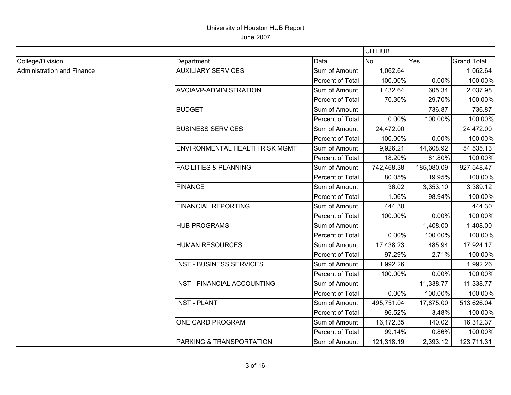|                            |                                    |                  | UH HUB     |            |                    |
|----------------------------|------------------------------------|------------------|------------|------------|--------------------|
| College/Division           | Department                         | Data             | <b>No</b>  | Yes        | <b>Grand Total</b> |
| Administration and Finance | <b>AUXILIARY SERVICES</b>          | Sum of Amount    | 1,062.64   |            | 1,062.64           |
|                            |                                    | Percent of Total | 100.00%    | 0.00%      | 100.00%            |
|                            | AVCIAVP-ADMINISTRATION             | Sum of Amount    | 1,432.64   | 605.34     | 2,037.98           |
|                            |                                    | Percent of Total | 70.30%     | 29.70%     | 100.00%            |
|                            | <b>BUDGET</b>                      | Sum of Amount    |            | 736.87     | 736.87             |
|                            |                                    | Percent of Total | 0.00%      | 100.00%    | 100.00%            |
|                            | <b>BUSINESS SERVICES</b>           | Sum of Amount    | 24,472.00  |            | 24,472.00          |
|                            |                                    | Percent of Total | 100.00%    | 0.00%      | 100.00%            |
|                            | ENVIRONMENTAL HEALTH RISK MGMT     | Sum of Amount    | 9,926.21   | 44,608.92  | 54,535.13          |
|                            |                                    | Percent of Total | 18.20%     | 81.80%     | 100.00%            |
|                            | <b>FACILITIES &amp; PLANNING</b>   | Sum of Amount    | 742,468.38 | 185,080.09 | 927,548.47         |
|                            |                                    | Percent of Total | 80.05%     | 19.95%     | 100.00%            |
|                            | <b>FINANCE</b>                     | Sum of Amount    | 36.02      | 3,353.10   | 3,389.12           |
|                            |                                    | Percent of Total | 1.06%      | 98.94%     | 100.00%            |
|                            | <b>FINANCIAL REPORTING</b>         | Sum of Amount    | 444.30     |            | 444.30             |
|                            |                                    | Percent of Total | 100.00%    | 0.00%      | 100.00%            |
|                            | <b>HUB PROGRAMS</b>                | Sum of Amount    |            | 1,408.00   | 1,408.00           |
|                            |                                    | Percent of Total | 0.00%      | 100.00%    | 100.00%            |
|                            | <b>HUMAN RESOURCES</b>             | Sum of Amount    | 17,438.23  | 485.94     | 17,924.17          |
|                            |                                    | Percent of Total | 97.29%     | 2.71%      | 100.00%            |
|                            | <b>INST - BUSINESS SERVICES</b>    | Sum of Amount    | 1,992.26   |            | 1,992.26           |
|                            |                                    | Percent of Total | 100.00%    | 0.00%      | 100.00%            |
|                            | <b>INST - FINANCIAL ACCOUNTING</b> | Sum of Amount    |            | 11,338.77  | 11,338.77          |
|                            |                                    | Percent of Total | 0.00%      | 100.00%    | 100.00%            |
|                            | <b>INST - PLANT</b>                | Sum of Amount    | 495,751.04 | 17,875.00  | 513,626.04         |
|                            |                                    | Percent of Total | 96.52%     | 3.48%      | 100.00%            |
|                            | ONE CARD PROGRAM                   | Sum of Amount    | 16,172.35  | 140.02     | 16,312.37          |
|                            |                                    | Percent of Total | 99.14%     | 0.86%      | 100.00%            |
|                            | PARKING & TRANSPORTATION           | Sum of Amount    | 121,318.19 | 2,393.12   | 123,711.31         |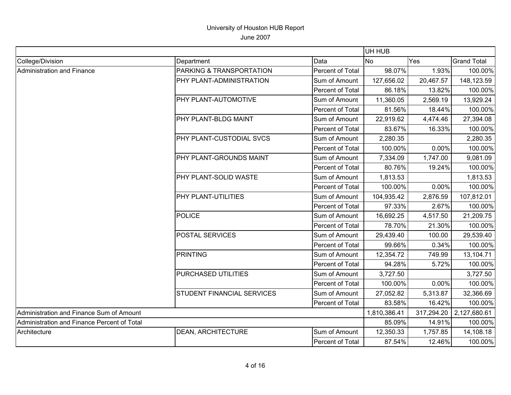|                                             |                                   |                  | UH HUB       |            |                    |
|---------------------------------------------|-----------------------------------|------------------|--------------|------------|--------------------|
| College/Division                            | Department                        | Data             | <b>No</b>    | Yes        | <b>Grand Total</b> |
| Administration and Finance                  | PARKING & TRANSPORTATION          | Percent of Total | 98.07%       | 1.93%      | 100.00%            |
|                                             | PHY PLANT-ADMINISTRATION          | Sum of Amount    | 127,656.02   | 20,467.57  | 148,123.59         |
|                                             |                                   | Percent of Total | 86.18%       | 13.82%     | 100.00%            |
|                                             | <b>PHY PLANT-AUTOMOTIVE</b>       | Sum of Amount    | 11,360.05    | 2,569.19   | 13,929.24          |
|                                             |                                   | Percent of Total | 81.56%       | 18.44%     | 100.00%            |
|                                             | <b>PHY PLANT-BLDG MAINT</b>       | Sum of Amount    | 22,919.62    | 4,474.46   | 27,394.08          |
|                                             |                                   | Percent of Total | 83.67%       | 16.33%     | 100.00%            |
|                                             | <b>PHY PLANT-CUSTODIAL SVCS</b>   | Sum of Amount    | 2,280.35     |            | 2,280.35           |
|                                             |                                   | Percent of Total | 100.00%      | 0.00%      | 100.00%            |
|                                             | <b>PHY PLANT-GROUNDS MAINT</b>    | Sum of Amount    | 7,334.09     | 1,747.00   | 9,081.09           |
|                                             |                                   | Percent of Total | 80.76%       | 19.24%     | 100.00%            |
|                                             | PHY PLANT-SOLID WASTE             | Sum of Amount    | 1,813.53     |            | 1,813.53           |
|                                             |                                   | Percent of Total | 100.00%      | 0.00%      | 100.00%            |
|                                             | <b>PHY PLANT-UTILITIES</b>        | Sum of Amount    | 104,935.42   | 2,876.59   | 107,812.01         |
|                                             |                                   | Percent of Total | 97.33%       | 2.67%      | 100.00%            |
|                                             | POLICE                            | Sum of Amount    | 16,692.25    | 4,517.50   | 21,209.75          |
|                                             |                                   | Percent of Total | 78.70%       | 21.30%     | 100.00%            |
|                                             | <b>POSTAL SERVICES</b>            | Sum of Amount    | 29,439.40    | 100.00     | 29,539.40          |
|                                             |                                   | Percent of Total | 99.66%       | 0.34%      | 100.00%            |
|                                             | PRINTING                          | Sum of Amount    | 12,354.72    | 749.99     | 13,104.71          |
|                                             |                                   | Percent of Total | 94.28%       | 5.72%      | 100.00%            |
|                                             | <b>PURCHASED UTILITIES</b>        | Sum of Amount    | 3,727.50     |            | 3,727.50           |
|                                             |                                   | Percent of Total | 100.00%      | 0.00%      | 100.00%            |
|                                             | <b>STUDENT FINANCIAL SERVICES</b> | Sum of Amount    | 27,052.82    | 5,313.87   | 32,366.69          |
|                                             |                                   | Percent of Total | 83.58%       | 16.42%     | 100.00%            |
| Administration and Finance Sum of Amount    |                                   |                  | 1,810,386.41 | 317,294.20 | 2,127,680.61       |
| Administration and Finance Percent of Total |                                   |                  | 85.09%       | 14.91%     | 100.00%            |
| Architecture                                | <b>DEAN, ARCHITECTURE</b>         | Sum of Amount    | 12,350.33    | 1,757.85   | 14,108.18          |
|                                             |                                   | Percent of Total | 87.54%       | 12.46%     | 100.00%            |
|                                             |                                   |                  |              |            |                    |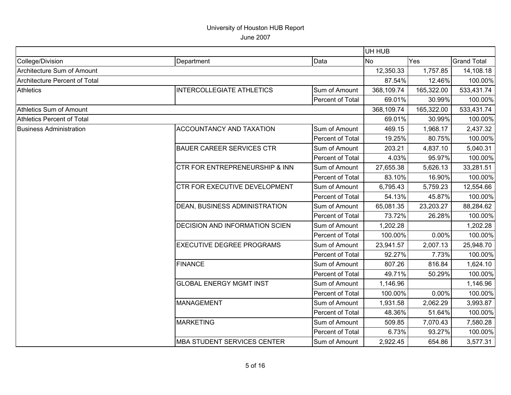|                                |                                           |                  | UH HUB     |            |                    |
|--------------------------------|-------------------------------------------|------------------|------------|------------|--------------------|
| College/Division               | Department                                | Data             | No.        | Yes        | <b>Grand Total</b> |
| Architecture Sum of Amount     |                                           |                  | 12,350.33  | 1,757.85   | 14,108.18          |
| Architecture Percent of Total  |                                           |                  | 87.54%     | 12.46%     | 100.00%            |
| <b>Athletics</b>               | <b>INTERCOLLEGIATE ATHLETICS</b>          | Sum of Amount    | 368,109.74 | 165,322.00 | 533,431.74         |
|                                |                                           | Percent of Total | 69.01%     | 30.99%     | 100.00%            |
| Athletics Sum of Amount        |                                           |                  | 368,109.74 | 165,322.00 | 533,431.74         |
| Athletics Percent of Total     |                                           |                  | 69.01%     | 30.99%     | 100.00%            |
| <b>Business Administration</b> | ACCOUNTANCY AND TAXATION                  | Sum of Amount    | 469.15     | 1,968.17   | 2,437.32           |
|                                |                                           | Percent of Total | 19.25%     | 80.75%     | 100.00%            |
|                                | <b>BAUER CAREER SERVICES CTR</b>          | Sum of Amount    | 203.21     | 4,837.10   | 5,040.31           |
|                                |                                           | Percent of Total | 4.03%      | 95.97%     | 100.00%            |
|                                | <b>CTR FOR ENTREPRENEURSHIP &amp; INN</b> | Sum of Amount    | 27,655.38  | 5,626.13   | 33,281.51          |
|                                |                                           | Percent of Total | 83.10%     | 16.90%     | 100.00%            |
|                                | <b>CTR FOR EXECUTIVE DEVELOPMENT</b>      | Sum of Amount    | 6,795.43   | 5,759.23   | 12,554.66          |
|                                |                                           | Percent of Total | 54.13%     | 45.87%     | 100.00%            |
|                                | <b>DEAN, BUSINESS ADMINISTRATION</b>      | Sum of Amount    | 65,081.35  | 23,203.27  | 88,284.62          |
|                                |                                           | Percent of Total | 73.72%     | 26.28%     | 100.00%            |
|                                | <b>DECISION AND INFORMATION SCIEN</b>     | Sum of Amount    | 1,202.28   |            | 1,202.28           |
|                                |                                           | Percent of Total | 100.00%    | 0.00%      | 100.00%            |
|                                | <b>EXECUTIVE DEGREE PROGRAMS</b>          | Sum of Amount    | 23,941.57  | 2,007.13   | 25,948.70          |
|                                |                                           | Percent of Total | 92.27%     | 7.73%      | 100.00%            |
|                                | <b>FINANCE</b>                            | Sum of Amount    | 807.26     | 816.84     | 1,624.10           |
|                                |                                           | Percent of Total | 49.71%     | 50.29%     | 100.00%            |
|                                | <b>GLOBAL ENERGY MGMT INST</b>            | Sum of Amount    | 1,146.96   |            | 1,146.96           |
|                                |                                           | Percent of Total | 100.00%    | 0.00%      | 100.00%            |
|                                | <b>MANAGEMENT</b>                         | Sum of Amount    | 1,931.58   | 2,062.29   | 3,993.87           |
|                                |                                           | Percent of Total | 48.36%     | 51.64%     | 100.00%            |
|                                | <b>MARKETING</b>                          | Sum of Amount    | 509.85     | 7,070.43   | 7,580.28           |
|                                |                                           | Percent of Total | 6.73%      | 93.27%     | 100.00%            |
|                                | <b>MBA STUDENT SERVICES CENTER</b>        | Sum of Amount    | 2,922.45   | 654.86     | 3,577.31           |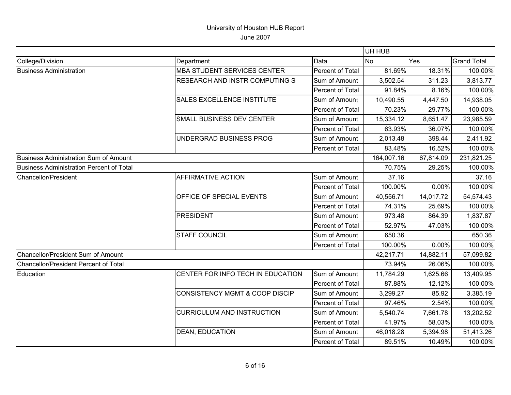|                                              |                                           |                  | UH HUB     |           |                    |
|----------------------------------------------|-------------------------------------------|------------------|------------|-----------|--------------------|
| College/Division                             | Department                                | Data             | <b>No</b>  | Yes       | <b>Grand Total</b> |
| Business Administration                      | MBA STUDENT SERVICES CENTER               | Percent of Total | 81.69%     | 18.31%    | 100.00%            |
|                                              | RESEARCH AND INSTR COMPUTING S            | Sum of Amount    | 3,502.54   | 311.23    | 3,813.77           |
|                                              |                                           | Percent of Total | 91.84%     | 8.16%     | 100.00%            |
|                                              | SALES EXCELLENCE INSTITUTE                | Sum of Amount    | 10,490.55  | 4,447.50  | 14,938.05          |
|                                              |                                           | Percent of Total | 70.23%     | 29.77%    | 100.00%            |
|                                              | <b>SMALL BUSINESS DEV CENTER</b>          | Sum of Amount    | 15,334.12  | 8,651.47  | 23,985.59          |
|                                              |                                           | Percent of Total | 63.93%     | 36.07%    | 100.00%            |
|                                              | UNDERGRAD BUSINESS PROG                   | Sum of Amount    | 2,013.48   | 398.44    | 2,411.92           |
|                                              |                                           | Percent of Total | 83.48%     | 16.52%    | 100.00%            |
| <b>Business Administration Sum of Amount</b> |                                           |                  | 164,007.16 | 67,814.09 | 231,821.25         |
| Business Administration Percent of Total     |                                           |                  | 70.75%     | 29.25%    | 100.00%            |
| Chancellor/President                         | <b>AFFIRMATIVE ACTION</b>                 | Sum of Amount    | 37.16      |           | 37.16              |
|                                              |                                           | Percent of Total | 100.00%    | 0.00%     | 100.00%            |
|                                              | OFFICE OF SPECIAL EVENTS                  | Sum of Amount    | 40,556.71  | 14,017.72 | 54,574.43          |
|                                              |                                           | Percent of Total | 74.31%     | 25.69%    | 100.00%            |
|                                              | <b>PRESIDENT</b>                          | Sum of Amount    | 973.48     | 864.39    | 1,837.87           |
|                                              |                                           | Percent of Total | 52.97%     | 47.03%    | 100.00%            |
|                                              | <b>STAFF COUNCIL</b>                      | Sum of Amount    | 650.36     |           | 650.36             |
|                                              |                                           | Percent of Total | 100.00%    | 0.00%     | 100.00%            |
| Chancellor/President Sum of Amount           |                                           |                  | 42,217.71  | 14,882.11 | 57,099.82          |
| Chancellor/President Percent of Total        |                                           |                  | 73.94%     | 26.06%    | 100.00%            |
| Education                                    | CENTER FOR INFO TECH IN EDUCATION         | Sum of Amount    | 11,784.29  | 1,625.66  | 13,409.95          |
|                                              |                                           | Percent of Total | 87.88%     | 12.12%    | 100.00%            |
|                                              | <b>CONSISTENCY MGMT &amp; COOP DISCIP</b> | Sum of Amount    | 3,299.27   | 85.92     | 3,385.19           |
|                                              |                                           | Percent of Total | 97.46%     | 2.54%     | 100.00%            |
|                                              | <b>CURRICULUM AND INSTRUCTION</b>         | Sum of Amount    | 5,540.74   | 7,661.78  | 13,202.52          |
|                                              |                                           | Percent of Total | 41.97%     | 58.03%    | 100.00%            |
|                                              | <b>DEAN, EDUCATION</b>                    | Sum of Amount    | 46,018.28  | 5,394.98  | 51,413.26          |
|                                              |                                           | Percent of Total | 89.51%     | 10.49%    | 100.00%            |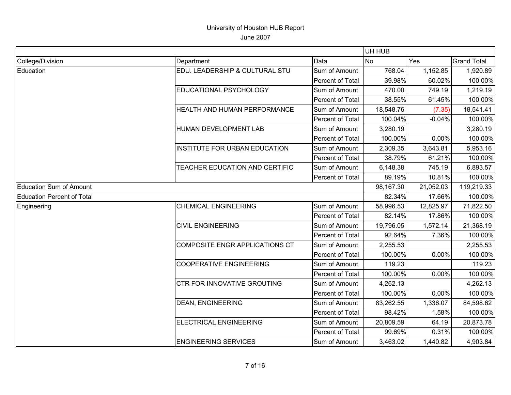|                                   |                                    |                  | UH HUB    |           |                    |
|-----------------------------------|------------------------------------|------------------|-----------|-----------|--------------------|
| College/Division                  | Department                         | Data             | <b>No</b> | Yes       | <b>Grand Total</b> |
| Education                         | EDU. LEADERSHIP & CULTURAL STU     | Sum of Amount    | 768.04    | 1,152.85  | 1,920.89           |
|                                   |                                    | Percent of Total | 39.98%    | 60.02%    | 100.00%            |
|                                   | EDUCATIONAL PSYCHOLOGY             | Sum of Amount    | 470.00    | 749.19    | 1,219.19           |
|                                   |                                    | Percent of Total | 38.55%    | 61.45%    | 100.00%            |
|                                   | HEALTH AND HUMAN PERFORMANCE       | Sum of Amount    | 18,548.76 | (7.35)    | 18,541.41          |
|                                   |                                    | Percent of Total | 100.04%   | $-0.04%$  | 100.00%            |
|                                   | HUMAN DEVELOPMENT LAB              | Sum of Amount    | 3,280.19  |           | 3,280.19           |
|                                   |                                    | Percent of Total | 100.00%   | $0.00\%$  | 100.00%            |
|                                   | INSTITUTE FOR URBAN EDUCATION      | Sum of Amount    | 2,309.35  | 3,643.81  | 5,953.16           |
|                                   |                                    | Percent of Total | 38.79%    | 61.21%    | 100.00%            |
|                                   | TEACHER EDUCATION AND CERTIFIC     | Sum of Amount    | 6,148.38  | 745.19    | 6,893.57           |
|                                   |                                    | Percent of Total | 89.19%    | 10.81%    | 100.00%            |
| <b>Education Sum of Amount</b>    |                                    |                  | 98,167.30 | 21,052.03 | 119,219.33         |
| <b>Education Percent of Total</b> |                                    |                  | 82.34%    | 17.66%    | 100.00%            |
| Engineering                       | <b>CHEMICAL ENGINEERING</b>        | Sum of Amount    | 58,996.53 | 12,825.97 | 71,822.50          |
|                                   |                                    | Percent of Total | 82.14%    | 17.86%    | 100.00%            |
|                                   | <b>CIVIL ENGINEERING</b>           | Sum of Amount    | 19,796.05 | 1,572.14  | 21,368.19          |
|                                   |                                    | Percent of Total | 92.64%    | 7.36%     | 100.00%            |
|                                   | COMPOSITE ENGR APPLICATIONS CT     | Sum of Amount    | 2,255.53  |           | 2,255.53           |
|                                   |                                    | Percent of Total | 100.00%   | 0.00%     | 100.00%            |
|                                   | <b>COOPERATIVE ENGINEERING</b>     | Sum of Amount    | 119.23    |           | 119.23             |
|                                   |                                    | Percent of Total | 100.00%   | 0.00%     | 100.00%            |
|                                   | <b>CTR FOR INNOVATIVE GROUTING</b> | Sum of Amount    | 4,262.13  |           | 4,262.13           |
|                                   |                                    | Percent of Total | 100.00%   | 0.00%     | 100.00%            |
|                                   | <b>DEAN, ENGINEERING</b>           | Sum of Amount    | 83,262.55 | 1,336.07  | 84,598.62          |
|                                   |                                    | Percent of Total | 98.42%    | 1.58%     | 100.00%            |
|                                   | <b>ELECTRICAL ENGINEERING</b>      | Sum of Amount    | 20,809.59 | 64.19     | 20,873.78          |
|                                   |                                    | Percent of Total | 99.69%    | 0.31%     | 100.00%            |
|                                   | <b>ENGINEERING SERVICES</b>        | Sum of Amount    | 3,463.02  | 1,440.82  | 4,903.84           |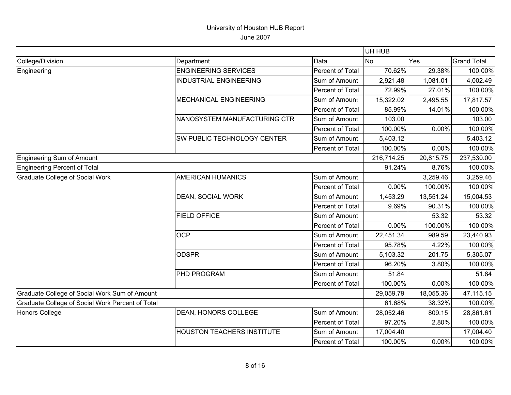|                                                  |                                   |                  | UH HUB     |           |                    |
|--------------------------------------------------|-----------------------------------|------------------|------------|-----------|--------------------|
| College/Division                                 | Department                        | Data             | No         | Yes       | <b>Grand Total</b> |
| Engineering                                      | <b>ENGINEERING SERVICES</b>       | Percent of Total | 70.62%     | 29.38%    | 100.00%            |
|                                                  | <b>INDUSTRIAL ENGINEERING</b>     | Sum of Amount    | 2,921.48   | 1,081.01  | 4,002.49           |
|                                                  |                                   | Percent of Total | 72.99%     | 27.01%    | 100.00%            |
|                                                  | MECHANICAL ENGINEERING            | Sum of Amount    | 15,322.02  | 2,495.55  | 17,817.57          |
|                                                  |                                   | Percent of Total | 85.99%     | 14.01%    | 100.00%            |
|                                                  | NANOSYSTEM MANUFACTURING CTR      | Sum of Amount    | 103.00     |           | 103.00             |
|                                                  |                                   | Percent of Total | 100.00%    | 0.00%     | 100.00%            |
|                                                  | SW PUBLIC TECHNOLOGY CENTER       | Sum of Amount    | 5,403.12   |           | 5,403.12           |
|                                                  |                                   | Percent of Total | 100.00%    | 0.00%     | 100.00%            |
| <b>Engineering Sum of Amount</b>                 |                                   |                  | 216,714.25 | 20,815.75 | 237,530.00         |
| <b>Engineering Percent of Total</b>              |                                   |                  | 91.24%     | 8.76%     | 100.00%            |
| <b>Graduate College of Social Work</b>           | <b>AMERICAN HUMANICS</b>          | Sum of Amount    |            | 3,259.46  | 3,259.46           |
|                                                  |                                   | Percent of Total | 0.00%      | 100.00%   | 100.00%            |
|                                                  | DEAN, SOCIAL WORK                 | Sum of Amount    | 1,453.29   | 13,551.24 | 15,004.53          |
|                                                  |                                   | Percent of Total | 9.69%      | 90.31%    | 100.00%            |
|                                                  | <b>FIELD OFFICE</b>               | Sum of Amount    |            | 53.32     | 53.32              |
|                                                  |                                   | Percent of Total | 0.00%      | 100.00%   | 100.00%            |
|                                                  | <b>OCP</b>                        | Sum of Amount    | 22,451.34  | 989.59    | 23,440.93          |
|                                                  |                                   | Percent of Total | 95.78%     | 4.22%     | 100.00%            |
|                                                  | <b>ODSPR</b>                      | Sum of Amount    | 5,103.32   | 201.75    | 5,305.07           |
|                                                  |                                   | Percent of Total | 96.20%     | 3.80%     | 100.00%            |
|                                                  | PHD PROGRAM                       | Sum of Amount    | 51.84      |           | 51.84              |
|                                                  |                                   | Percent of Total | 100.00%    | 0.00%     | 100.00%            |
| Graduate College of Social Work Sum of Amount    |                                   |                  | 29,059.79  | 18,055.36 | 47,115.15          |
| Graduate College of Social Work Percent of Total |                                   |                  | 61.68%     | 38.32%    | 100.00%            |
| <b>Honors College</b>                            | DEAN, HONORS COLLEGE              | Sum of Amount    | 28,052.46  | 809.15    | 28,861.61          |
|                                                  |                                   | Percent of Total | 97.20%     | 2.80%     | 100.00%            |
|                                                  | <b>HOUSTON TEACHERS INSTITUTE</b> | Sum of Amount    | 17,004.40  |           | 17,004.40          |
|                                                  |                                   | Percent of Total | 100.00%    | 0.00%     | 100.00%            |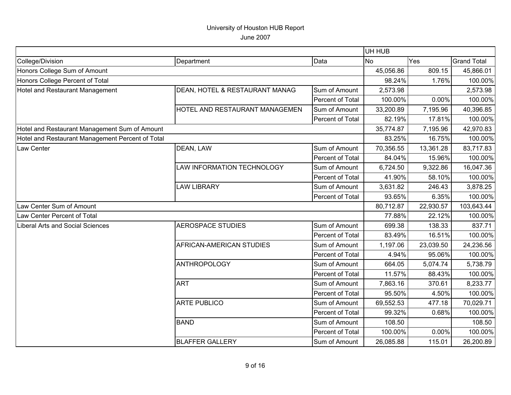|                                                  |                                |                  | UH HUB    |           |                    |
|--------------------------------------------------|--------------------------------|------------------|-----------|-----------|--------------------|
| College/Division                                 | Department                     | Data             | <b>No</b> | Yes       | <b>Grand Total</b> |
| Honors College Sum of Amount                     |                                |                  | 45,056.86 | 809.15    | 45,866.01          |
| Honors College Percent of Total                  |                                |                  | 98.24%    | 1.76%     | 100.00%            |
| Hotel and Restaurant Management                  | DEAN, HOTEL & RESTAURANT MANAG | Sum of Amount    | 2,573.98  |           | 2,573.98           |
|                                                  |                                | Percent of Total | 100.00%   | 0.00%     | 100.00%            |
|                                                  | HOTEL AND RESTAURANT MANAGEMEN | Sum of Amount    | 33,200.89 | 7,195.96  | 40,396.85          |
|                                                  |                                | Percent of Total | 82.19%    | 17.81%    | 100.00%            |
| Hotel and Restaurant Management Sum of Amount    |                                |                  | 35,774.87 | 7,195.96  | 42,970.83          |
| Hotel and Restaurant Management Percent of Total |                                |                  | 83.25%    | 16.75%    | 100.00%            |
| Law Center                                       | DEAN, LAW                      | Sum of Amount    | 70,356.55 | 13,361.28 | 83,717.83          |
|                                                  |                                | Percent of Total | 84.04%    | 15.96%    | 100.00%            |
|                                                  | LAW INFORMATION TECHNOLOGY     | Sum of Amount    | 6,724.50  | 9,322.86  | 16,047.36          |
|                                                  |                                | Percent of Total | 41.90%    | 58.10%    | 100.00%            |
|                                                  | <b>LAW LIBRARY</b>             | Sum of Amount    | 3,631.82  | 246.43    | 3,878.25           |
|                                                  |                                | Percent of Total | 93.65%    | 6.35%     | 100.00%            |
| Law Center Sum of Amount                         |                                |                  | 80,712.87 | 22,930.57 | 103,643.44         |
| Law Center Percent of Total                      |                                |                  | 77.88%    | 22.12%    | 100.00%            |
| <b>Liberal Arts and Social Sciences</b>          | <b>AEROSPACE STUDIES</b>       | Sum of Amount    | 699.38    | 138.33    | 837.71             |
|                                                  |                                | Percent of Total | 83.49%    | 16.51%    | 100.00%            |
|                                                  | AFRICAN-AMERICAN STUDIES       | Sum of Amount    | 1,197.06  | 23,039.50 | 24,236.56          |
|                                                  |                                | Percent of Total | 4.94%     | 95.06%    | 100.00%            |
|                                                  | <b>ANTHROPOLOGY</b>            | Sum of Amount    | 664.05    | 5,074.74  | 5,738.79           |
|                                                  |                                | Percent of Total | 11.57%    | 88.43%    | 100.00%            |
|                                                  | <b>ART</b>                     | Sum of Amount    | 7,863.16  | 370.61    | 8,233.77           |
|                                                  |                                | Percent of Total | 95.50%    | 4.50%     | 100.00%            |
|                                                  | <b>ARTE PUBLICO</b>            | Sum of Amount    | 69,552.53 | 477.18    | 70,029.71          |
|                                                  |                                | Percent of Total | 99.32%    | 0.68%     | 100.00%            |
|                                                  | <b>BAND</b>                    | Sum of Amount    | 108.50    |           | 108.50             |
|                                                  |                                | Percent of Total | 100.00%   | 0.00%     | 100.00%            |
|                                                  | <b>BLAFFER GALLERY</b>         | Sum of Amount    | 26,085.88 | 115.01    | 26,200.89          |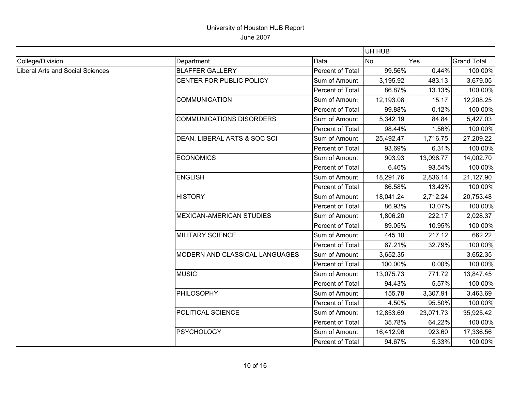|                                         |                                 |                  | UH HUB    |           |                    |
|-----------------------------------------|---------------------------------|------------------|-----------|-----------|--------------------|
| College/Division                        | Department                      | Data             | <b>No</b> | Yes       | <b>Grand Total</b> |
| <b>Liberal Arts and Social Sciences</b> | <b>BLAFFER GALLERY</b>          | Percent of Total | 99.56%    | 0.44%     | 100.00%            |
|                                         | CENTER FOR PUBLIC POLICY        | Sum of Amount    | 3,195.92  | 483.13    | 3,679.05           |
|                                         |                                 | Percent of Total | 86.87%    | 13.13%    | 100.00%            |
|                                         | <b>COMMUNICATION</b>            | Sum of Amount    | 12,193.08 | 15.17     | 12,208.25          |
|                                         |                                 | Percent of Total | 99.88%    | 0.12%     | 100.00%            |
|                                         | <b>COMMUNICATIONS DISORDERS</b> | Sum of Amount    | 5,342.19  | 84.84     | 5,427.03           |
|                                         |                                 | Percent of Total | 98.44%    | 1.56%     | 100.00%            |
|                                         | DEAN, LIBERAL ARTS & SOC SCI    | Sum of Amount    | 25,492.47 | 1,716.75  | 27,209.22          |
|                                         |                                 | Percent of Total | 93.69%    | 6.31%     | 100.00%            |
|                                         | <b>ECONOMICS</b>                | Sum of Amount    | 903.93    | 13,098.77 | 14,002.70          |
|                                         |                                 | Percent of Total | 6.46%     | 93.54%    | 100.00%            |
|                                         | <b>ENGLISH</b>                  | Sum of Amount    | 18,291.76 | 2,836.14  | 21,127.90          |
|                                         |                                 | Percent of Total | 86.58%    | 13.42%    | 100.00%            |
|                                         | <b>HISTORY</b>                  | Sum of Amount    | 18,041.24 | 2,712.24  | 20,753.48          |
|                                         |                                 | Percent of Total | 86.93%    | 13.07%    | 100.00%            |
|                                         | <b>MEXICAN-AMERICAN STUDIES</b> | Sum of Amount    | 1,806.20  | 222.17    | 2,028.37           |
|                                         |                                 | Percent of Total | 89.05%    | 10.95%    | 100.00%            |
|                                         | <b>MILITARY SCIENCE</b>         | Sum of Amount    | 445.10    | 217.12    | 662.22             |
|                                         |                                 | Percent of Total | 67.21%    | 32.79%    | 100.00%            |
|                                         | MODERN AND CLASSICAL LANGUAGES  | Sum of Amount    | 3,652.35  |           | 3,652.35           |
|                                         |                                 | Percent of Total | 100.00%   | 0.00%     | 100.00%            |
|                                         | <b>MUSIC</b>                    | Sum of Amount    | 13,075.73 | 771.72    | 13,847.45          |
|                                         |                                 | Percent of Total | 94.43%    | 5.57%     | 100.00%            |
|                                         | PHILOSOPHY                      | Sum of Amount    | 155.78    | 3,307.91  | 3,463.69           |
|                                         |                                 | Percent of Total | 4.50%     | 95.50%    | 100.00%            |
|                                         | POLITICAL SCIENCE               | Sum of Amount    | 12,853.69 | 23,071.73 | 35,925.42          |
|                                         |                                 | Percent of Total | 35.78%    | 64.22%    | 100.00%            |
|                                         | <b>PSYCHOLOGY</b>               | Sum of Amount    | 16,412.96 | 923.60    | 17,336.56          |
|                                         |                                 | Percent of Total | 94.67%    | 5.33%     | 100.00%            |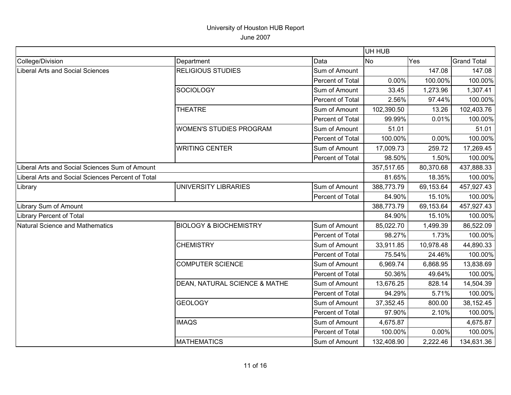|                                                   |                                   |                  | UH HUB     |           |                    |
|---------------------------------------------------|-----------------------------------|------------------|------------|-----------|--------------------|
| College/Division                                  | Department                        | Data             | <b>No</b>  | Yes       | <b>Grand Total</b> |
| Liberal Arts and Social Sciences                  | <b>RELIGIOUS STUDIES</b>          | Sum of Amount    |            | 147.08    | 147.08             |
|                                                   |                                   | Percent of Total | 0.00%      | 100.00%   | 100.00%            |
|                                                   | <b>SOCIOLOGY</b>                  | Sum of Amount    | 33.45      | 1,273.96  | 1,307.41           |
|                                                   |                                   | Percent of Total | 2.56%      | 97.44%    | 100.00%            |
|                                                   | <b>THEATRE</b>                    | Sum of Amount    | 102,390.50 | 13.26     | 102,403.76         |
|                                                   |                                   | Percent of Total | 99.99%     | 0.01%     | 100.00%            |
|                                                   | <b>WOMEN'S STUDIES PROGRAM</b>    | Sum of Amount    | 51.01      |           | 51.01              |
|                                                   |                                   | Percent of Total | 100.00%    | 0.00%     | 100.00%            |
|                                                   | <b>WRITING CENTER</b>             | Sum of Amount    | 17,009.73  | 259.72    | 17,269.45          |
|                                                   |                                   | Percent of Total | 98.50%     | 1.50%     | 100.00%            |
| Liberal Arts and Social Sciences Sum of Amount    |                                   |                  | 357,517.65 | 80,370.68 | 437,888.33         |
| Liberal Arts and Social Sciences Percent of Total |                                   |                  | 81.65%     | 18.35%    | 100.00%            |
| Library                                           | <b>UNIVERSITY LIBRARIES</b>       | Sum of Amount    | 388,773.79 | 69,153.64 | 457,927.43         |
|                                                   |                                   | Percent of Total | 84.90%     | 15.10%    | 100.00%            |
| <b>Library Sum of Amount</b>                      |                                   |                  | 388,773.79 | 69,153.64 | 457,927.43         |
| <b>Library Percent of Total</b>                   |                                   |                  | 84.90%     | 15.10%    | 100.00%            |
| Natural Science and Mathematics                   | <b>BIOLOGY &amp; BIOCHEMISTRY</b> | Sum of Amount    | 85,022.70  | 1,499.39  | 86,522.09          |
|                                                   |                                   | Percent of Total | 98.27%     | 1.73%     | 100.00%            |
|                                                   | <b>CHEMISTRY</b>                  | Sum of Amount    | 33,911.85  | 10,978.48 | 44,890.33          |
|                                                   |                                   | Percent of Total | 75.54%     | 24.46%    | 100.00%            |
|                                                   | <b>COMPUTER SCIENCE</b>           | Sum of Amount    | 6,969.74   | 6,868.95  | 13,838.69          |
|                                                   |                                   | Percent of Total | 50.36%     | 49.64%    | 100.00%            |
|                                                   | DEAN, NATURAL SCIENCE & MATHE     | Sum of Amount    | 13,676.25  | 828.14    | 14,504.39          |
|                                                   |                                   | Percent of Total | 94.29%     | 5.71%     | 100.00%            |
|                                                   | <b>GEOLOGY</b>                    | Sum of Amount    | 37,352.45  | 800.00    | 38,152.45          |
|                                                   |                                   | Percent of Total | 97.90%     | 2.10%     | 100.00%            |
|                                                   | <b>IMAQS</b>                      | Sum of Amount    | 4,675.87   |           | 4,675.87           |
|                                                   |                                   | Percent of Total | 100.00%    | 0.00%     | 100.00%            |
|                                                   | <b>MATHEMATICS</b>                | Sum of Amount    | 132,408.90 | 2,222.46  | 134,631.36         |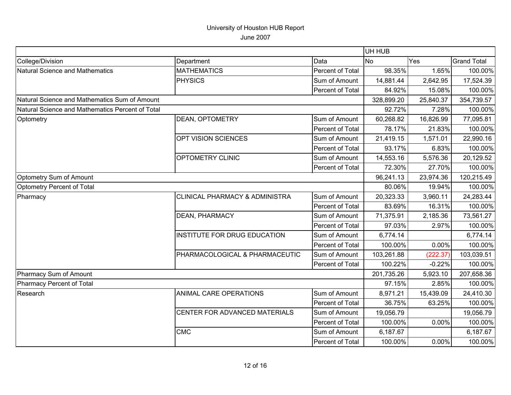|                                                  |                                           |                  | UH HUB     |           |                    |
|--------------------------------------------------|-------------------------------------------|------------------|------------|-----------|--------------------|
| College/Division                                 | Department                                | Data             | <b>No</b>  | Yes       | <b>Grand Total</b> |
| Natural Science and Mathematics                  | <b>MATHEMATICS</b>                        | Percent of Total | 98.35%     | 1.65%     | 100.00%            |
|                                                  | <b>PHYSICS</b>                            | Sum of Amount    | 14,881.44  | 2,642.95  | 17,524.39          |
|                                                  |                                           | Percent of Total | 84.92%     | 15.08%    | 100.00%            |
| Natural Science and Mathematics Sum of Amount    |                                           |                  | 328,899.20 | 25,840.37 | 354,739.57         |
| Natural Science and Mathematics Percent of Total |                                           |                  | 92.72%     | 7.28%     | 100.00%            |
| Optometry                                        | DEAN, OPTOMETRY                           | Sum of Amount    | 60,268.82  | 16,826.99 | 77,095.81          |
|                                                  |                                           | Percent of Total | 78.17%     | 21.83%    | 100.00%            |
|                                                  | OPT VISION SCIENCES                       | Sum of Amount    | 21,419.15  | 1,571.01  | 22,990.16          |
|                                                  |                                           | Percent of Total | 93.17%     | 6.83%     | 100.00%            |
|                                                  | OPTOMETRY CLINIC                          | Sum of Amount    | 14,553.16  | 5,576.36  | 20,129.52          |
|                                                  |                                           | Percent of Total | 72.30%     | 27.70%    | 100.00%            |
| Optometry Sum of Amount                          |                                           |                  | 96,241.13  | 23,974.36 | 120,215.49         |
| Optometry Percent of Total                       |                                           |                  | 80.06%     | 19.94%    | 100.00%            |
| Pharmacy                                         | <b>CLINICAL PHARMACY &amp; ADMINISTRA</b> | Sum of Amount    | 20,323.33  | 3,960.11  | 24,283.44          |
|                                                  |                                           | Percent of Total | 83.69%     | 16.31%    | 100.00%            |
|                                                  | <b>DEAN, PHARMACY</b>                     | Sum of Amount    | 71,375.91  | 2,185.36  | 73,561.27          |
|                                                  |                                           | Percent of Total | 97.03%     | 2.97%     | 100.00%            |
|                                                  | <b>INSTITUTE FOR DRUG EDUCATION</b>       | Sum of Amount    | 6,774.14   |           | 6,774.14           |
|                                                  |                                           | Percent of Total | 100.00%    | 0.00%     | 100.00%            |
|                                                  | PHARMACOLOGICAL & PHARMACEUTIC            | Sum of Amount    | 103,261.88 | (222.37)  | 103,039.51         |
|                                                  |                                           | Percent of Total | 100.22%    | $-0.22%$  | 100.00%            |
| Pharmacy Sum of Amount                           |                                           |                  | 201,735.26 | 5,923.10  | 207,658.36         |
| Pharmacy Percent of Total                        |                                           |                  | 97.15%     | 2.85%     | 100.00%            |
| Research                                         | ANIMAL CARE OPERATIONS                    | Sum of Amount    | 8,971.21   | 15,439.09 | 24,410.30          |
|                                                  |                                           | Percent of Total | 36.75%     | 63.25%    | 100.00%            |
|                                                  | CENTER FOR ADVANCED MATERIALS             | Sum of Amount    | 19,056.79  |           | 19,056.79          |
|                                                  |                                           | Percent of Total | 100.00%    | 0.00%     | 100.00%            |
|                                                  | <b>CMC</b>                                | Sum of Amount    | 6,187.67   |           | 6,187.67           |
|                                                  |                                           | Percent of Total | 100.00%    | 0.00%     | 100.00%            |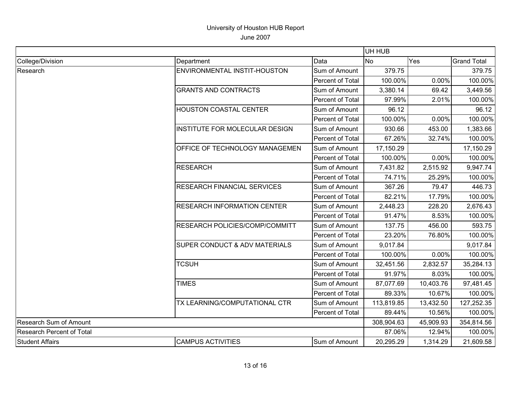|                           |                                    |                  | UH HUB     |            |                    |
|---------------------------|------------------------------------|------------------|------------|------------|--------------------|
| College/Division          | Department                         | Data             | No         | Yes        | <b>Grand Total</b> |
| Research                  | ENVIRONMENTAL INSTIT-HOUSTON       | Sum of Amount    | 379.75     |            | 379.75             |
|                           |                                    | Percent of Total | 100.00%    | 0.00%      | 100.00%            |
|                           | <b>GRANTS AND CONTRACTS</b>        | Sum of Amount    | 3,380.14   | 69.42      | 3,449.56           |
|                           |                                    | Percent of Total | 97.99%     | 2.01%      | 100.00%            |
|                           | <b>HOUSTON COASTAL CENTER</b>      | Sum of Amount    | 96.12      |            | 96.12              |
|                           |                                    | Percent of Total | 100.00%    | 0.00%      | 100.00%            |
|                           | INSTITUTE FOR MOLECULAR DESIGN     | Sum of Amount    | 930.66     | 453.00     | 1,383.66           |
|                           |                                    | Percent of Total | 67.26%     | 32.74%     | 100.00%            |
|                           | OFFICE OF TECHNOLOGY MANAGEMEN     | Sum of Amount    | 17,150.29  |            | 17,150.29          |
|                           |                                    | Percent of Total | 100.00%    | 0.00%      | 100.00%            |
|                           | <b>RESEARCH</b>                    | Sum of Amount    | 7,431.82   | 2,515.92   | 9,947.74           |
|                           |                                    | Percent of Total | 74.71%     | 25.29%     | 100.00%            |
|                           | <b>RESEARCH FINANCIAL SERVICES</b> | Sum of Amount    | 367.26     | 79.47      | 446.73             |
|                           |                                    | Percent of Total | 82.21%     | 17.79%     | 100.00%            |
|                           | <b>RESEARCH INFORMATION CENTER</b> | Sum of Amount    | 2,448.23   | 228.20     | 2,676.43           |
|                           |                                    | Percent of Total | 91.47%     | 8.53%      | 100.00%            |
|                           | RESEARCH POLICIES/COMP/COMMITT     | Sum of Amount    | 137.75     | 456.00     | 593.75             |
|                           |                                    | Percent of Total | 23.20%     | 76.80%     | 100.00%            |
|                           | SUPER CONDUCT & ADV MATERIALS      | Sum of Amount    | 9,017.84   |            | 9,017.84           |
|                           |                                    | Percent of Total | 100.00%    | 0.00%      | 100.00%            |
|                           | <b>TCSUH</b>                       | Sum of Amount    | 32,451.56  | 2,832.57   | 35,284.13          |
|                           |                                    | Percent of Total | 91.97%     | 8.03%      | 100.00%            |
|                           | <b>TIMES</b>                       | Sum of Amount    | 87,077.69  | 10,403.76  | 97,481.45          |
|                           |                                    | Percent of Total | 89.33%     | 10.67%     | 100.00%            |
|                           | TX LEARNING/COMPUTATIONAL CTR      | Sum of Amount    | 113,819.85 | 13,432.50  | 127,252.35         |
|                           |                                    | Percent of Total | 89.44%     | 10.56%     | 100.00%            |
| Research Sum of Amount    |                                    | 308,904.63       | 45,909.93  | 354,814.56 |                    |
| Research Percent of Total |                                    | 87.06%           | 12.94%     | 100.00%    |                    |
| <b>Student Affairs</b>    | <b>CAMPUS ACTIVITIES</b>           | Sum of Amount    | 20,295.29  | 1,314.29   | 21,609.58          |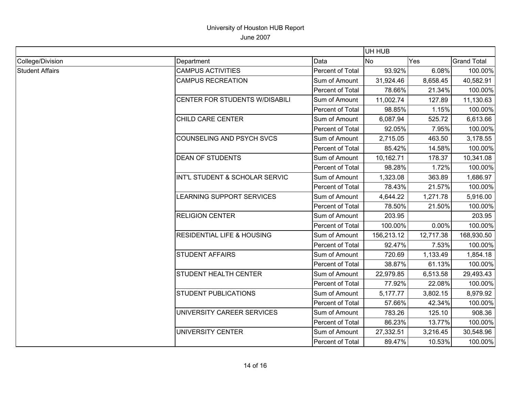|                        |                                       |                  | UH HUB     |           |                    |
|------------------------|---------------------------------------|------------------|------------|-----------|--------------------|
| College/Division       | Department                            | Data             | <b>No</b>  | Yes       | <b>Grand Total</b> |
| <b>Student Affairs</b> | <b>CAMPUS ACTIVITIES</b>              | Percent of Total | 93.92%     | 6.08%     | 100.00%            |
|                        | <b>CAMPUS RECREATION</b>              | Sum of Amount    | 31,924.46  | 8,658.45  | 40,582.91          |
|                        |                                       | Percent of Total | 78.66%     | 21.34%    | 100.00%            |
|                        | CENTER FOR STUDENTS W/DISABILI        | Sum of Amount    | 11,002.74  | 127.89    | 11,130.63          |
|                        |                                       | Percent of Total | 98.85%     | 1.15%     | 100.00%            |
|                        | CHILD CARE CENTER                     | Sum of Amount    | 6,087.94   | 525.72    | 6,613.66           |
|                        |                                       | Percent of Total | 92.05%     | 7.95%     | 100.00%            |
|                        | <b>COUNSELING AND PSYCH SVCS</b>      | Sum of Amount    | 2,715.05   | 463.50    | 3,178.55           |
|                        |                                       | Percent of Total | 85.42%     | 14.58%    | 100.00%            |
|                        | <b>DEAN OF STUDENTS</b>               | Sum of Amount    | 10,162.71  | 178.37    | 10,341.08          |
|                        |                                       | Percent of Total | 98.28%     | 1.72%     | 100.00%            |
|                        | INT'L STUDENT & SCHOLAR SERVIC        | Sum of Amount    | 1,323.08   | 363.89    | 1,686.97           |
|                        |                                       | Percent of Total | 78.43%     | 21.57%    | 100.00%            |
|                        | LEARNING SUPPORT SERVICES             | Sum of Amount    | 4,644.22   | 1,271.78  | 5,916.00           |
|                        |                                       | Percent of Total | 78.50%     | 21.50%    | 100.00%            |
|                        | <b>RELIGION CENTER</b>                | Sum of Amount    | 203.95     |           | 203.95             |
|                        |                                       | Percent of Total | 100.00%    | 0.00%     | 100.00%            |
|                        | <b>RESIDENTIAL LIFE &amp; HOUSING</b> | Sum of Amount    | 156,213.12 | 12,717.38 | 168,930.50         |
|                        |                                       | Percent of Total | 92.47%     | 7.53%     | 100.00%            |
|                        | <b>STUDENT AFFAIRS</b>                | Sum of Amount    | 720.69     | 1,133.49  | 1,854.18           |
|                        |                                       | Percent of Total | 38.87%     | 61.13%    | 100.00%            |
|                        | STUDENT HEALTH CENTER                 | Sum of Amount    | 22,979.85  | 6,513.58  | 29,493.43          |
|                        |                                       | Percent of Total | 77.92%     | 22.08%    | 100.00%            |
|                        | <b>STUDENT PUBLICATIONS</b>           | Sum of Amount    | 5,177.77   | 3,802.15  | 8,979.92           |
|                        |                                       | Percent of Total | 57.66%     | 42.34%    | 100.00%            |
|                        | UNIVERSITY CAREER SERVICES            | Sum of Amount    | 783.26     | 125.10    | 908.36             |
|                        |                                       | Percent of Total | 86.23%     | 13.77%    | 100.00%            |
|                        | UNIVERSITY CENTER                     | Sum of Amount    | 27,332.51  | 3,216.45  | 30,548.96          |
|                        |                                       | Percent of Total | 89.47%     | 10.53%    | 100.00%            |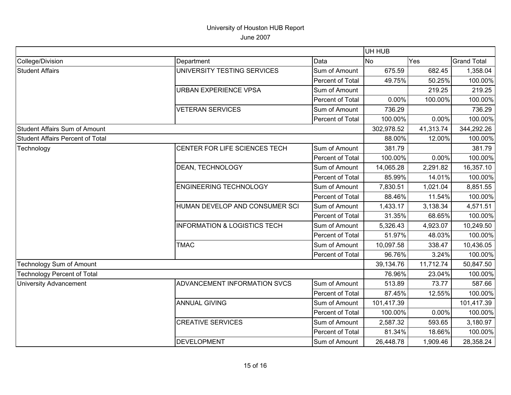|                                         |                                         |                  | UH HUB     |           |                    |
|-----------------------------------------|-----------------------------------------|------------------|------------|-----------|--------------------|
| College/Division                        | Department                              | Data             | <b>No</b>  | Yes       | <b>Grand Total</b> |
| <b>Student Affairs</b>                  | UNIVERSITY TESTING SERVICES             | Sum of Amount    | 675.59     | 682.45    | 1,358.04           |
|                                         |                                         | Percent of Total | 49.75%     | 50.25%    | 100.00%            |
|                                         | <b>URBAN EXPERIENCE VPSA</b>            | Sum of Amount    |            | 219.25    | 219.25             |
|                                         |                                         | Percent of Total | 0.00%      | 100.00%   | 100.00%            |
|                                         | <b>VETERAN SERVICES</b>                 | Sum of Amount    | 736.29     |           | 736.29             |
|                                         |                                         | Percent of Total | 100.00%    | 0.00%     | 100.00%            |
| <b>Student Affairs Sum of Amount</b>    |                                         |                  | 302,978.52 | 41,313.74 | 344,292.26         |
| <b>Student Affairs Percent of Total</b> |                                         |                  | 88.00%     | 12.00%    | 100.00%            |
| Technology                              | CENTER FOR LIFE SCIENCES TECH           | Sum of Amount    | 381.79     |           | 381.79             |
|                                         |                                         | Percent of Total | 100.00%    | 0.00%     | 100.00%            |
|                                         | DEAN, TECHNOLOGY                        | Sum of Amount    | 14,065.28  | 2,291.82  | 16,357.10          |
|                                         |                                         | Percent of Total | 85.99%     | 14.01%    | 100.00%            |
|                                         | <b>ENGINEERING TECHNOLOGY</b>           | Sum of Amount    | 7,830.51   | 1,021.04  | 8,851.55           |
|                                         |                                         | Percent of Total | 88.46%     | 11.54%    | 100.00%            |
|                                         | HUMAN DEVELOP AND CONSUMER SCI          | Sum of Amount    | 1,433.17   | 3,138.34  | 4,571.51           |
|                                         |                                         | Percent of Total | 31.35%     | 68.65%    | 100.00%            |
|                                         | <b>INFORMATION &amp; LOGISTICS TECH</b> | Sum of Amount    | 5,326.43   | 4,923.07  | 10,249.50          |
|                                         |                                         | Percent of Total | 51.97%     | 48.03%    | 100.00%            |
|                                         | <b>TMAC</b>                             | Sum of Amount    | 10,097.58  | 338.47    | 10,436.05          |
|                                         |                                         | Percent of Total | 96.76%     | 3.24%     | 100.00%            |
| <b>Technology Sum of Amount</b>         |                                         |                  | 39,134.76  | 11,712.74 | 50,847.50          |
| <b>Technology Percent of Total</b>      |                                         |                  | 76.96%     | 23.04%    | 100.00%            |
| <b>University Advancement</b>           | ADVANCEMENT INFORMATION SVCS            | Sum of Amount    | 513.89     | 73.77     | 587.66             |
|                                         |                                         | Percent of Total | 87.45%     | 12.55%    | 100.00%            |
|                                         | <b>ANNUAL GIVING</b>                    | Sum of Amount    | 101,417.39 |           | 101,417.39         |
|                                         |                                         | Percent of Total | 100.00%    | 0.00%     | 100.00%            |
|                                         | <b>CREATIVE SERVICES</b>                | Sum of Amount    | 2,587.32   | 593.65    | 3,180.97           |
|                                         |                                         | Percent of Total | 81.34%     | 18.66%    | 100.00%            |
|                                         | <b>DEVELOPMENT</b>                      | Sum of Amount    | 26,448.78  | 1,909.46  | 28,358.24          |